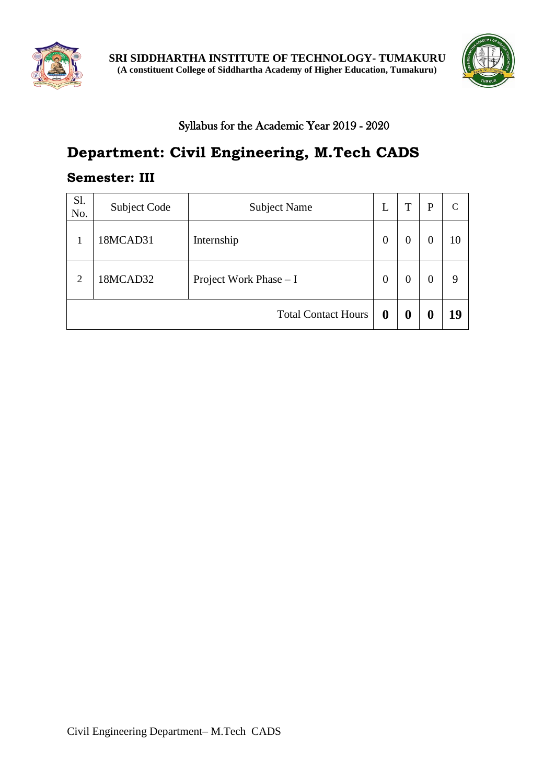

**SRI SIDDHARTHA INSTITUTE OF TECHNOLOGY- TUMAKURU (A constituent College of Siddhartha Academy of Higher Education, Tumakuru)**



## Syllabus for the Academic Year 2019 - 2020

# **Department: Civil Engineering, M.Tech CADS**

# **Semester: III**

| Sl.<br>No.     | Subject Code | <b>Subject Name</b>        |                | T | P | C  |
|----------------|--------------|----------------------------|----------------|---|---|----|
| 1              | 18MCAD31     | Internship                 | $\overline{0}$ |   | 0 | 10 |
| $\overline{2}$ | 18MCAD32     | Project Work Phase - I     |                | 0 | 0 | 9  |
|                |              | <b>Total Contact Hours</b> | 0              | 0 | U | 19 |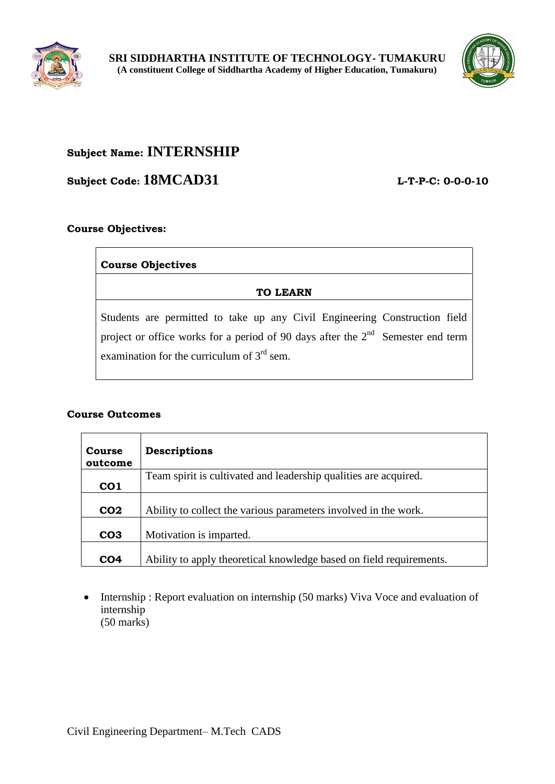



# **Subject Name: INTERNSHIP**

# **Subject Code: 18MCAD31 L-T-P-C: 0-0-0-10**

## **Course Objectives:**

| <b>Course Objectives</b>                                                                                                                                                                                        |  |
|-----------------------------------------------------------------------------------------------------------------------------------------------------------------------------------------------------------------|--|
| TO LEARN                                                                                                                                                                                                        |  |
| Students are permitted to take up any Civil Engineering Construction field<br>project or office works for a period of 90 days after the $2nd$ Semester end term<br>examination for the curriculum of $3rd$ sem. |  |

## **Course Outcomes**

| Course<br>outcome | <b>Descriptions</b>                                                 |
|-------------------|---------------------------------------------------------------------|
| CO <sub>1</sub>   | Team spirit is cultivated and leadership qualities are acquired.    |
|                   |                                                                     |
| CO <sub>2</sub>   | Ability to collect the various parameters involved in the work.     |
| CO <sub>3</sub>   | Motivation is imparted.                                             |
| CO <sub>4</sub>   | Ability to apply theoretical knowledge based on field requirements. |

• Internship : Report evaluation on internship (50 marks) Viva Voce and evaluation of internship (50 marks)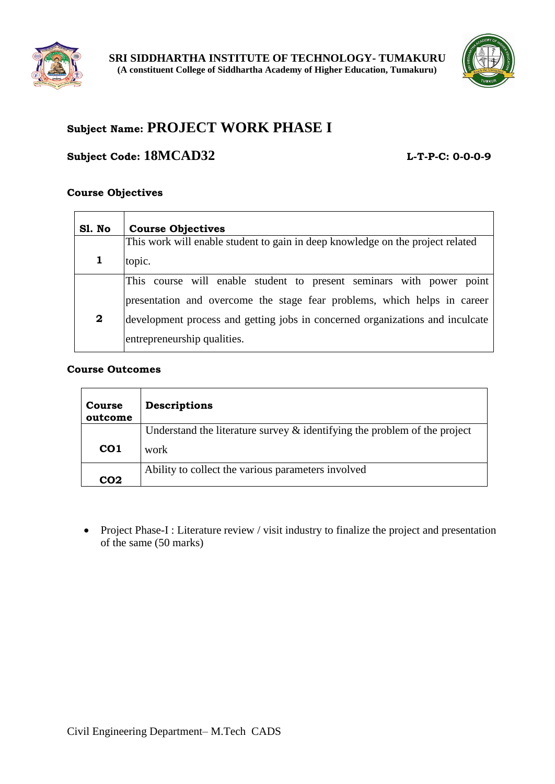



# **Subject Name: PROJECT WORK PHASE I**

## **Subject Code: 18MCAD32 L-T-P-C: 0-0-0-9**

## **Course Objectives**

| Sl. No | <b>Course Objectives</b>                                                       |  |
|--------|--------------------------------------------------------------------------------|--|
|        | This work will enable student to gain in deep knowledge on the project related |  |
|        | topic.                                                                         |  |
|        | This course will enable student to present seminars with power point           |  |
|        | presentation and overcome the stage fear problems, which helps in career       |  |
| 2      | development process and getting jobs in concerned organizations and inculcate  |  |
|        | entrepreneurship qualities.                                                    |  |

## **Course Outcomes**

| Course<br>outcome | Descriptions                                                                 |
|-------------------|------------------------------------------------------------------------------|
|                   | Understand the literature survey $\&$ identifying the problem of the project |
| CO <sub>1</sub>   | work                                                                         |
| CO <sub>2</sub>   | Ability to collect the various parameters involved                           |

• Project Phase-I : Literature review / visit industry to finalize the project and presentation of the same (50 marks)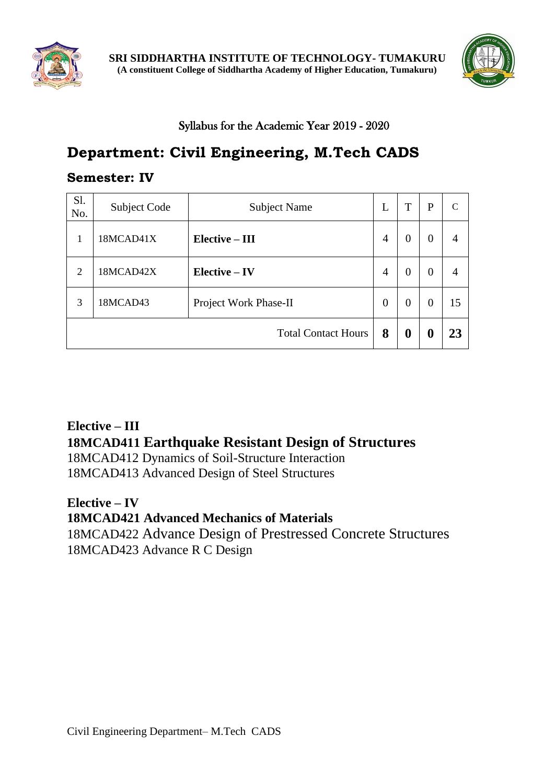

**SRI SIDDHARTHA INSTITUTE OF TECHNOLOGY- TUMAKURU (A constituent College of Siddhartha Academy of Higher Education, Tumakuru)**



## Syllabus for the Academic Year 2019 - 2020

# **Department: Civil Engineering, M.Tech CADS**

# **Semester: IV**

| Sl.<br>No. | Subject Code | <b>Subject Name</b>        | L              | T                | P              | C              |
|------------|--------------|----------------------------|----------------|------------------|----------------|----------------|
| 1          | 18MCAD41X    | $Elective - III$           | 4              | $\theta$         | 0              | $\overline{4}$ |
| 2          | 18MCAD42X    | Elective - IV              | $\overline{4}$ | 0                | $\overline{0}$ | 4              |
| 3          | 18MCAD43     | Project Work Phase-II      | $\overline{0}$ | $\theta$         | $\overline{0}$ | 15             |
|            |              | <b>Total Contact Hours</b> | 8              | $\boldsymbol{0}$ | $\bf{0}$       | 23             |

# **Elective – III 18MCAD411 Earthquake Resistant Design of Structures** 18MCAD412 Dynamics of Soil-Structure Interaction

18MCAD413 Advanced Design of Steel Structures

# **Elective – IV**

# **18MCAD421 Advanced Mechanics of Materials**

18MCAD422 Advance Design of Prestressed Concrete Structures 18MCAD423 Advance R C Design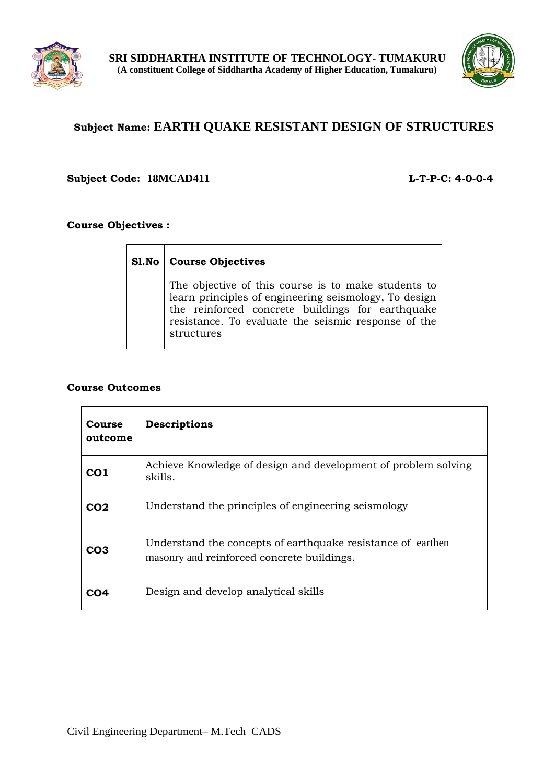



# **Subject Name: EARTH QUAKE RESISTANT DESIGN OF STRUCTURES**

## **Subject Code: 18MCAD411 L-T-P-C: 4-0-0-4**

#### **Course Objectives :**

| <b>Sl.No</b>   Course Objectives                                                                                                                                                                                                      |
|---------------------------------------------------------------------------------------------------------------------------------------------------------------------------------------------------------------------------------------|
| The objective of this course is to make students to<br>learn principles of engineering seismology, To design<br>the reinforced concrete buildings for earthquake<br>resistance. To evaluate the seismic response of the<br>structures |

| <b>Course</b><br>outcome | Descriptions                                                                                              |
|--------------------------|-----------------------------------------------------------------------------------------------------------|
| CO <sub>1</sub>          | Achieve Knowledge of design and development of problem solving<br>skills.                                 |
| CO <sub>2</sub>          | Understand the principles of engineering seismology                                                       |
| CO <sub>3</sub>          | Understand the concepts of earthquake resistance of earthen<br>masonry and reinforced concrete buildings. |
| CO4                      | Design and develop analytical skills                                                                      |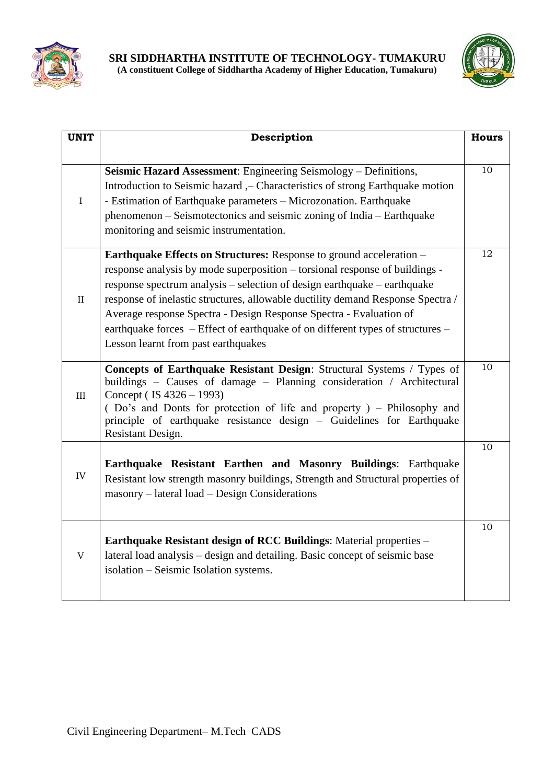



| <b>UNIT</b> | Description                                                                                                                                                                                                                                                                                                                                                                                                                                                                                                      |    |
|-------------|------------------------------------------------------------------------------------------------------------------------------------------------------------------------------------------------------------------------------------------------------------------------------------------------------------------------------------------------------------------------------------------------------------------------------------------------------------------------------------------------------------------|----|
|             |                                                                                                                                                                                                                                                                                                                                                                                                                                                                                                                  |    |
| $\rm I$     | Seismic Hazard Assessment: Engineering Seismology - Definitions,<br>Introduction to Seismic hazard , - Characteristics of strong Earthquake motion<br>- Estimation of Earthquake parameters - Microzonation. Earthquake<br>phenomenon – Seismotectonics and seismic zoning of India – Earthquake<br>monitoring and seismic instrumentation.                                                                                                                                                                      | 10 |
| $\rm II$    | Earthquake Effects on Structures: Response to ground acceleration -<br>response analysis by mode superposition – torsional response of buildings -<br>response spectrum analysis – selection of design earthquake – earthquake<br>response of inelastic structures, allowable ductility demand Response Spectra /<br>Average response Spectra - Design Response Spectra - Evaluation of<br>earthquake forces – Effect of earthquake of on different types of structures –<br>Lesson learnt from past earthquakes | 12 |
| III         | Concepts of Earthquake Resistant Design: Structural Systems / Types of<br>buildings - Causes of damage - Planning consideration / Architectural<br>Concept (IS $4326 - 1993$ )<br>(Do's and Donts for protection of life and property) – Philosophy and<br>principle of earthquake resistance design - Guidelines for Earthquake<br>Resistant Design.                                                                                                                                                            | 10 |
| IV          | Earthquake Resistant Earthen and Masonry Buildings: Earthquake<br>Resistant low strength masonry buildings, Strength and Structural properties of<br>masonry – lateral load – Design Considerations                                                                                                                                                                                                                                                                                                              | 10 |
| $\mathbf V$ | <b>Earthquake Resistant design of RCC Buildings:</b> Material properties –<br>lateral load analysis – design and detailing. Basic concept of seismic base<br>isolation - Seismic Isolation systems.                                                                                                                                                                                                                                                                                                              | 10 |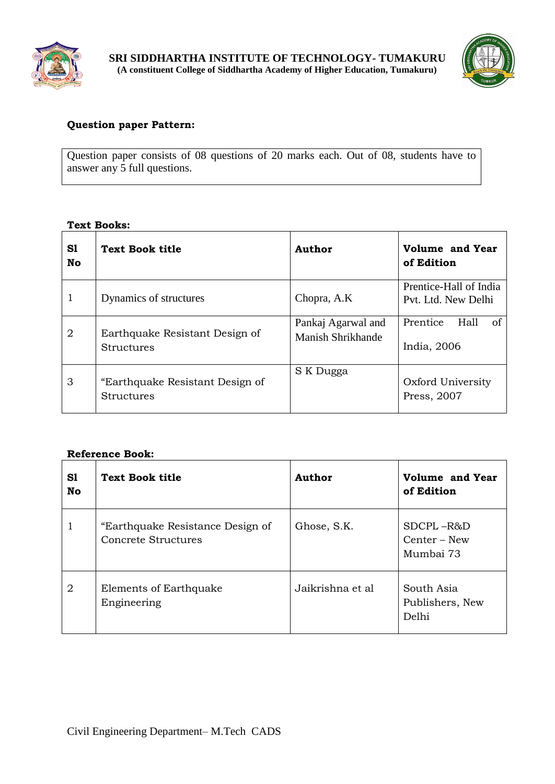



Question paper consists of 08 questions of 20 marks each. Out of 08, students have to answer any 5 full questions.

## **Text Books:**

| S1<br>No       | <b>Text Book title</b>                               | <b>Author</b>                           | Volume and Year<br>of Edition                 |  |
|----------------|------------------------------------------------------|-----------------------------------------|-----------------------------------------------|--|
| 1              | Dynamics of structures                               | Chopra, A.K                             | Prentice-Hall of India<br>Pvt. Ltd. New Delhi |  |
| $\overline{2}$ | Earthquake Resistant Design of<br><b>Structures</b>  | Pankaj Agarwal and<br>Manish Shrikhande | Prentice<br>Hall<br>of<br>India, 2006         |  |
| 3              | "Earthquake Resistant Design of<br><b>Structures</b> | S K Dugga                               | Oxford University<br>Press, 2007              |  |

| S1<br>No       | <b>Text Book title</b>                                  | <b>Author</b>    | <b>Volume</b> and Year<br>of Edition   |
|----------------|---------------------------------------------------------|------------------|----------------------------------------|
| 1              | "Earthquake Resistance Design of<br>Concrete Structures | Ghose, S.K.      | SDCPL-R&D<br>Center – New<br>Mumbai 73 |
| $\overline{2}$ | Elements of Earthquake<br>Engineering                   | Jaikrishna et al | South Asia<br>Publishers, New<br>Delhi |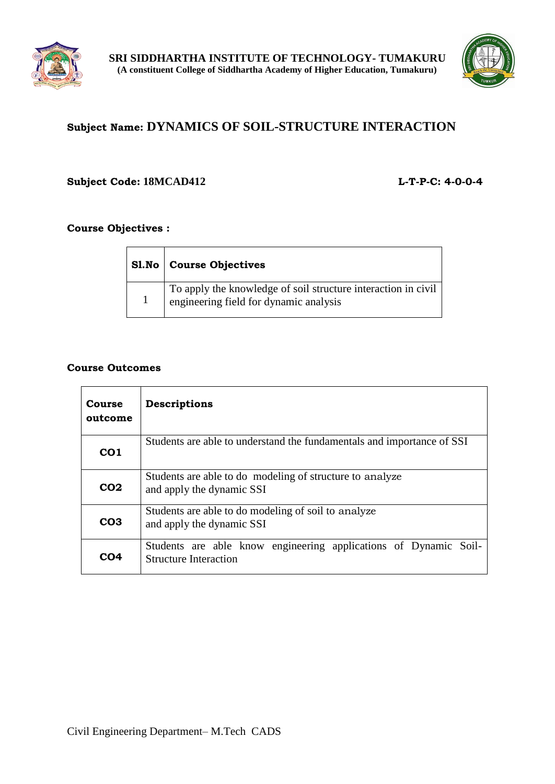



# **Subject Name: DYNAMICS OF SOIL-STRUCTURE INTERACTION**

## **Subject Code: 18MCAD412 L-T-P-C: 4-0-0-4**

## **Course Objectives :**

| Sl.No   Course Objectives                                                                               |
|---------------------------------------------------------------------------------------------------------|
| To apply the knowledge of soil structure interaction in civil<br>engineering field for dynamic analysis |

| <b>Course</b><br>outcome | Descriptions                                                                                     |
|--------------------------|--------------------------------------------------------------------------------------------------|
| CO <sub>1</sub>          | Students are able to understand the fundamentals and importance of SSI                           |
| CO2                      | Students are able to do modeling of structure to analyze<br>and apply the dynamic SSI            |
| CO <sub>3</sub>          | Students are able to do modeling of soil to analyze<br>and apply the dynamic SSI                 |
| CO4                      | Students are able know engineering applications of Dynamic Soil-<br><b>Structure Interaction</b> |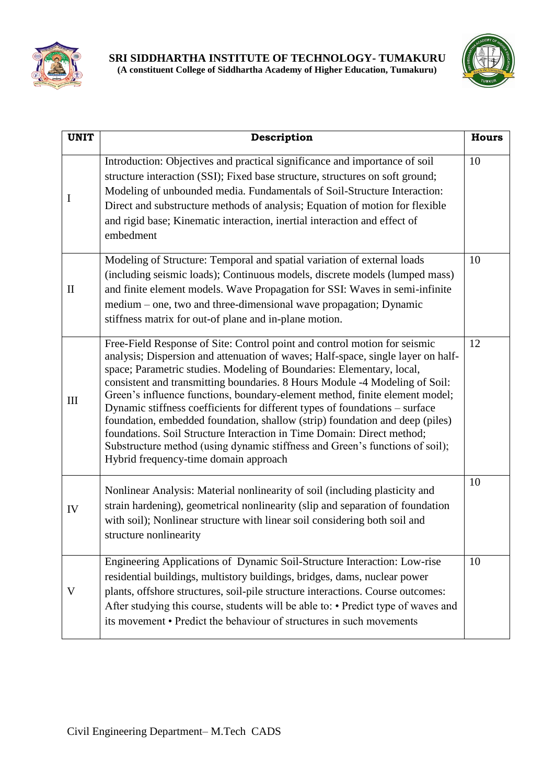



| <b>UNIT</b>  | Description                                                                                                                                                                                                                                                                                                                                                                                                                                                                                                                                                                                                                                                                                                                                                            | <b>Hours</b> |
|--------------|------------------------------------------------------------------------------------------------------------------------------------------------------------------------------------------------------------------------------------------------------------------------------------------------------------------------------------------------------------------------------------------------------------------------------------------------------------------------------------------------------------------------------------------------------------------------------------------------------------------------------------------------------------------------------------------------------------------------------------------------------------------------|--------------|
| I            | Introduction: Objectives and practical significance and importance of soil<br>structure interaction (SSI); Fixed base structure, structures on soft ground;<br>Modeling of unbounded media. Fundamentals of Soil-Structure Interaction:<br>Direct and substructure methods of analysis; Equation of motion for flexible<br>and rigid base; Kinematic interaction, inertial interaction and effect of<br>embedment                                                                                                                                                                                                                                                                                                                                                      | 10           |
| $\mathbf{I}$ | Modeling of Structure: Temporal and spatial variation of external loads<br>(including seismic loads); Continuous models, discrete models (lumped mass)<br>and finite element models. Wave Propagation for SSI: Waves in semi-infinite<br>medium – one, two and three-dimensional wave propagation; Dynamic<br>stiffness matrix for out-of plane and in-plane motion.                                                                                                                                                                                                                                                                                                                                                                                                   | 10           |
| III          | Free-Field Response of Site: Control point and control motion for seismic<br>analysis; Dispersion and attenuation of waves; Half-space, single layer on half-<br>space; Parametric studies. Modeling of Boundaries: Elementary, local,<br>consistent and transmitting boundaries. 8 Hours Module -4 Modeling of Soil:<br>Green's influence functions, boundary-element method, finite element model;<br>Dynamic stiffness coefficients for different types of foundations - surface<br>foundation, embedded foundation, shallow (strip) foundation and deep (piles)<br>foundations. Soil Structure Interaction in Time Domain: Direct method;<br>Substructure method (using dynamic stiffness and Green's functions of soil);<br>Hybrid frequency-time domain approach | 12           |
| IV           | Nonlinear Analysis: Material nonlinearity of soil (including plasticity and<br>strain hardening), geometrical nonlinearity (slip and separation of foundation<br>with soil); Nonlinear structure with linear soil considering both soil and<br>structure nonlinearity                                                                                                                                                                                                                                                                                                                                                                                                                                                                                                  | 10           |
| V            | Engineering Applications of Dynamic Soil-Structure Interaction: Low-rise<br>residential buildings, multistory buildings, bridges, dams, nuclear power<br>plants, offshore structures, soil-pile structure interactions. Course outcomes:<br>After studying this course, students will be able to: • Predict type of waves and<br>its movement • Predict the behaviour of structures in such movements                                                                                                                                                                                                                                                                                                                                                                  | 10           |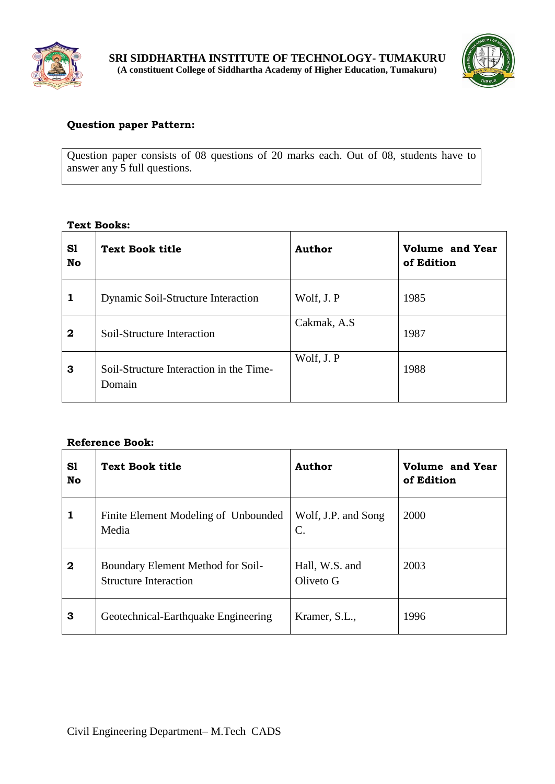



Question paper consists of 08 questions of 20 marks each. Out of 08, students have to answer any 5 full questions.

## **Text Books:**

| S1<br>No         | <b>Text Book title</b>                            | <b>Author</b> | <b>Volume and Year</b><br>of Edition |
|------------------|---------------------------------------------------|---------------|--------------------------------------|
| 1                | Dynamic Soil-Structure Interaction                | Wolf, J. P    | 1985                                 |
| $\boldsymbol{2}$ | Soil-Structure Interaction                        | Cakmak, A.S.  | 1987                                 |
| 3                | Soil-Structure Interaction in the Time-<br>Domain | Wolf, J. P    | 1988                                 |

| S1<br>No         | <b>Text Book title</b>                                            | <b>Author</b>               | <b>Volume</b> and Year<br>of Edition |
|------------------|-------------------------------------------------------------------|-----------------------------|--------------------------------------|
| 1                | Finite Element Modeling of Unbounded<br>Media                     | Wolf, J.P. and Song<br>C.   | 2000                                 |
| $\boldsymbol{2}$ | Boundary Element Method for Soil-<br><b>Structure Interaction</b> | Hall, W.S. and<br>Oliveto G | 2003                                 |
| 3                | Geotechnical-Earthquake Engineering                               | Kramer, S.L.,               | 1996                                 |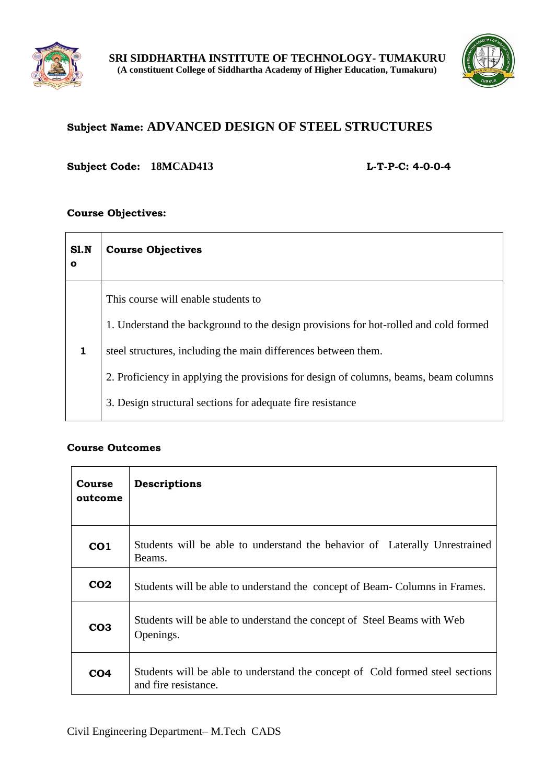



# **Subject Name: ADVANCED DESIGN OF STEEL STRUCTURES**

## **Subject Code: 18MCAD413 L-T-P-C: 4-0-0-4**

## **Course Objectives:**

| SI.N<br>O | <b>Course Objectives</b>                                                                                                    |
|-----------|-----------------------------------------------------------------------------------------------------------------------------|
|           | This course will enable students to<br>1. Understand the background to the design provisions for hot-rolled and cold formed |
| 1         | steel structures, including the main differences between them.                                                              |
|           | 2. Proficiency in applying the provisions for design of columns, beams, beam columns                                        |
|           | 3. Design structural sections for adequate fire resistance                                                                  |

| Course<br>outcome | Descriptions                                                                                          |
|-------------------|-------------------------------------------------------------------------------------------------------|
| CO <sub>1</sub>   | Students will be able to understand the behavior of Laterally Unrestrained<br>Beams.                  |
| CO <sub>2</sub>   | Students will be able to understand the concept of Beam-Columns in Frames.                            |
| CO <sub>3</sub>   | Students will be able to understand the concept of Steel Beams with Web<br>Openings.                  |
| CO <sub>4</sub>   | Students will be able to understand the concept of Cold formed steel sections<br>and fire resistance. |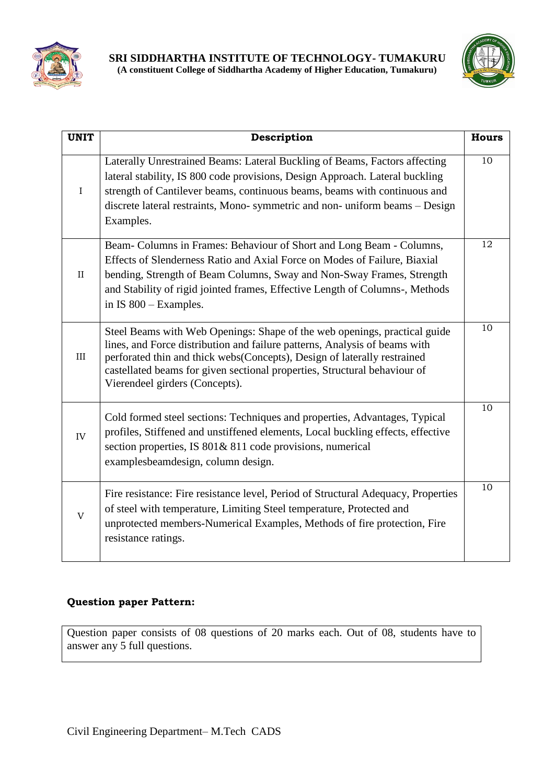



| <b>UNIT</b>  | Description                                                                                                                                                                                                                                                                                                                                        | <b>Hours</b> |
|--------------|----------------------------------------------------------------------------------------------------------------------------------------------------------------------------------------------------------------------------------------------------------------------------------------------------------------------------------------------------|--------------|
| $\mathbf I$  | Laterally Unrestrained Beams: Lateral Buckling of Beams, Factors affecting<br>lateral stability, IS 800 code provisions, Design Approach. Lateral buckling<br>strength of Cantilever beams, continuous beams, beams with continuous and<br>discrete lateral restraints, Mono- symmetric and non- uniform beams - Design<br>Examples.               | 10           |
| $\rm II$     | Beam-Columns in Frames: Behaviour of Short and Long Beam - Columns,<br>Effects of Slenderness Ratio and Axial Force on Modes of Failure, Biaxial<br>bending, Strength of Beam Columns, Sway and Non-Sway Frames, Strength<br>and Stability of rigid jointed frames, Effective Length of Columns-, Methods<br>in IS $800 -$ Examples.               | 12           |
| III          | Steel Beams with Web Openings: Shape of the web openings, practical guide<br>lines, and Force distribution and failure patterns, Analysis of beams with<br>perforated thin and thick webs(Concepts), Design of laterally restrained<br>castellated beams for given sectional properties, Structural behaviour of<br>Vierendeel girders (Concepts). | 10           |
| IV           | Cold formed steel sections: Techniques and properties, Advantages, Typical<br>profiles, Stiffened and unstiffened elements, Local buckling effects, effective<br>section properties, IS 801& 811 code provisions, numerical<br>examplesbeamdesign, column design.                                                                                  | 10           |
| $\mathbf{V}$ | Fire resistance: Fire resistance level, Period of Structural Adequacy, Properties<br>of steel with temperature, Limiting Steel temperature, Protected and<br>unprotected members-Numerical Examples, Methods of fire protection, Fire<br>resistance ratings.                                                                                       | 10           |

Question paper consists of 08 questions of 20 marks each. Out of 08, students have to answer any 5 full questions.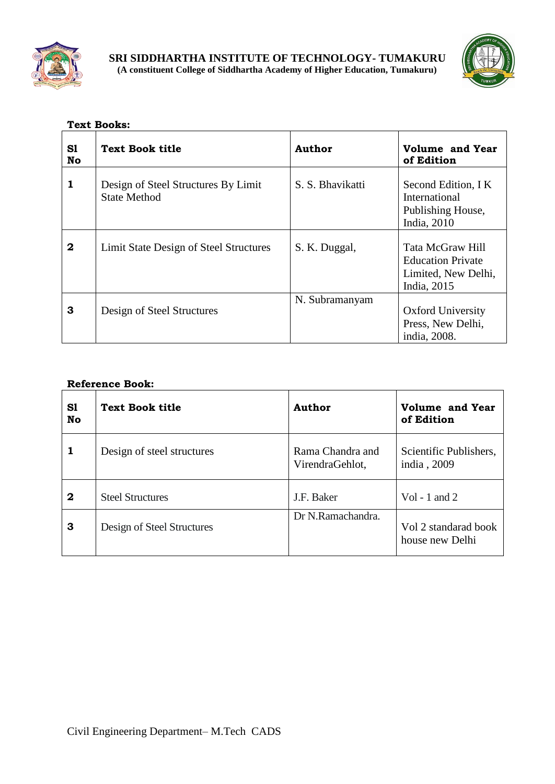



| S1<br>No         | <b>Text Book title</b>                                     | <b>Author</b>    | Volume and Year<br>of Edition                                                      |  |  |
|------------------|------------------------------------------------------------|------------------|------------------------------------------------------------------------------------|--|--|
| 1                | Design of Steel Structures By Limit<br><b>State Method</b> | S. S. Bhavikatti | Second Edition, IK<br>International<br>Publishing House,<br>India, 2010            |  |  |
| $\boldsymbol{2}$ | Limit State Design of Steel Structures                     | S. K. Duggal,    | Tata McGraw Hill<br><b>Education Private</b><br>Limited, New Delhi,<br>India, 2015 |  |  |
| 3                | Design of Steel Structures                                 | N. Subramanyam   | <b>Oxford University</b><br>Press, New Delhi,<br>india, 2008.                      |  |  |

## **Text Books:**

| S1<br>No     | <b>Text Book title</b>     | <b>Author</b>                       | <b>Volume and Year</b><br>of Edition    |
|--------------|----------------------------|-------------------------------------|-----------------------------------------|
| 1            | Design of steel structures | Rama Chandra and<br>VirendraGehlot, | Scientific Publishers,<br>india, 2009   |
| $\mathbf{2}$ | <b>Steel Structures</b>    | J.F. Baker                          | Vol - 1 and 2                           |
| 3            | Design of Steel Structures | Dr N.Ramachandra.                   | Vol 2 standarad book<br>house new Delhi |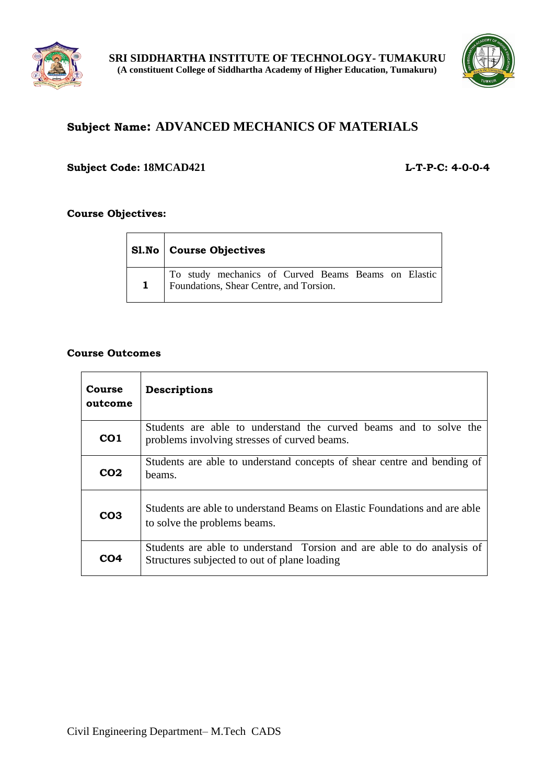



# **Subject Name: ADVANCED MECHANICS OF MATERIALS**

## **Subject Code: 18MCAD421 L-T-P-C: 4-0-0-4**

## **Course Objectives:**

| <b>S1.No</b>   Course Objectives                                                            |
|---------------------------------------------------------------------------------------------|
| To study mechanics of Curved Beams Beams on Elastic Foundations, Shear Centre, and Torsion. |

| <b>Course</b><br>outcome | Descriptions                                                                                                           |
|--------------------------|------------------------------------------------------------------------------------------------------------------------|
| CO <sub>1</sub>          | Students are able to understand the curved beams and to solve the<br>problems involving stresses of curved beams.      |
| CO <sub>2</sub>          | Students are able to understand concepts of shear centre and bending of<br>beams.                                      |
| CO <sub>3</sub>          | Students are able to understand Beams on Elastic Foundations and are able<br>to solve the problems beams.              |
| CO4                      | Students are able to understand Torsion and are able to do analysis of<br>Structures subjected to out of plane loading |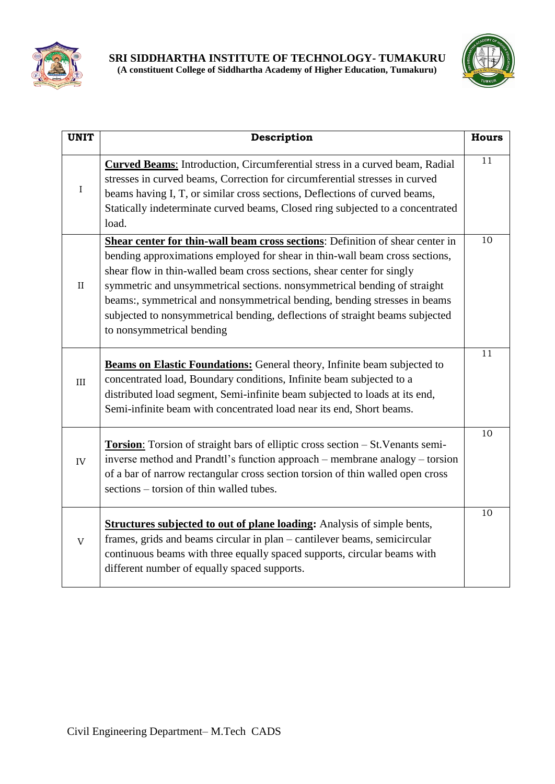



| <b>UNIT</b>    | Description                                                                                                                                                                                                                                                                                                                                                                                                                                                                                                  | <b>Hours</b> |
|----------------|--------------------------------------------------------------------------------------------------------------------------------------------------------------------------------------------------------------------------------------------------------------------------------------------------------------------------------------------------------------------------------------------------------------------------------------------------------------------------------------------------------------|--------------|
| $\mathbf I$    | <b>Curved Beams:</b> Introduction, Circumferential stress in a curved beam, Radial<br>stresses in curved beams, Correction for circumferential stresses in curved<br>beams having I, T, or similar cross sections, Deflections of curved beams,<br>Statically indeterminate curved beams, Closed ring subjected to a concentrated<br>load.                                                                                                                                                                   | 11           |
| $\rm II$       | Shear center for thin-wall beam cross sections: Definition of shear center in<br>bending approximations employed for shear in thin-wall beam cross sections,<br>shear flow in thin-walled beam cross sections, shear center for singly<br>symmetric and unsymmetrical sections. nonsymmetrical bending of straight<br>beams:, symmetrical and nonsymmetrical bending, bending stresses in beams<br>subjected to nonsymmetrical bending, deflections of straight beams subjected<br>to nonsymmetrical bending | 10           |
| III            | <b>Beams on Elastic Foundations:</b> General theory, Infinite beam subjected to<br>concentrated load, Boundary conditions, Infinite beam subjected to a<br>distributed load segment, Semi-infinite beam subjected to loads at its end,<br>Semi-infinite beam with concentrated load near its end, Short beams.                                                                                                                                                                                               | 11           |
| IV             | <b>Torsion:</b> Torsion of straight bars of elliptic cross section – St. Venants semi-<br>inverse method and Prandtl's function approach – membrane analogy – torsion<br>of a bar of narrow rectangular cross section torsion of thin walled open cross<br>sections – torsion of thin walled tubes.                                                                                                                                                                                                          | 10           |
| $\overline{V}$ | <b>Structures subjected to out of plane loading:</b> Analysis of simple bents,<br>frames, grids and beams circular in plan - cantilever beams, semicircular<br>continuous beams with three equally spaced supports, circular beams with<br>different number of equally spaced supports.                                                                                                                                                                                                                      | 10           |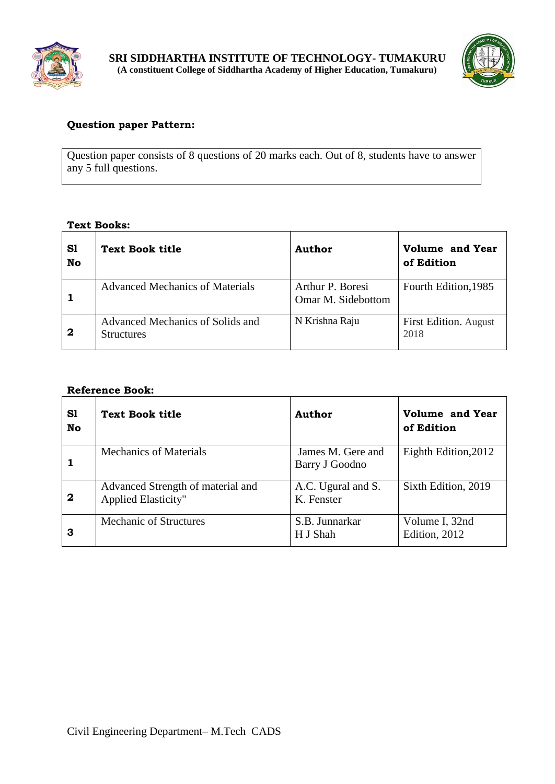



Question paper consists of 8 questions of 20 marks each. Out of 8, students have to answer any 5 full questions.

## **Text Books:**

| S1<br>No    | <b>Text Book title</b>                                | Author                                 | Volume and Year<br>of Edition |
|-------------|-------------------------------------------------------|----------------------------------------|-------------------------------|
|             | <b>Advanced Mechanics of Materials</b>                | Arthur P. Boresi<br>Omar M. Sidebottom | Fourth Edition, 1985          |
| $\mathbf 2$ | Advanced Mechanics of Solids and<br><b>Structures</b> | N Krishna Raju                         | First Edition. August<br>2018 |

| S1<br>No    | <b>Text Book title</b>                                          | <b>Author</b>                       | Volume and Year<br>of Edition   |
|-------------|-----------------------------------------------------------------|-------------------------------------|---------------------------------|
|             | <b>Mechanics of Materials</b>                                   | James M. Gere and<br>Barry J Goodno | Eighth Edition, 2012            |
| $\mathbf 2$ | Advanced Strength of material and<br><b>Applied Elasticity"</b> | A.C. Ugural and S.<br>K. Fenster    | Sixth Edition, 2019             |
| З           | <b>Mechanic of Structures</b>                                   | S.B. Junnarkar<br>H J Shah          | Volume I, 32nd<br>Edition, 2012 |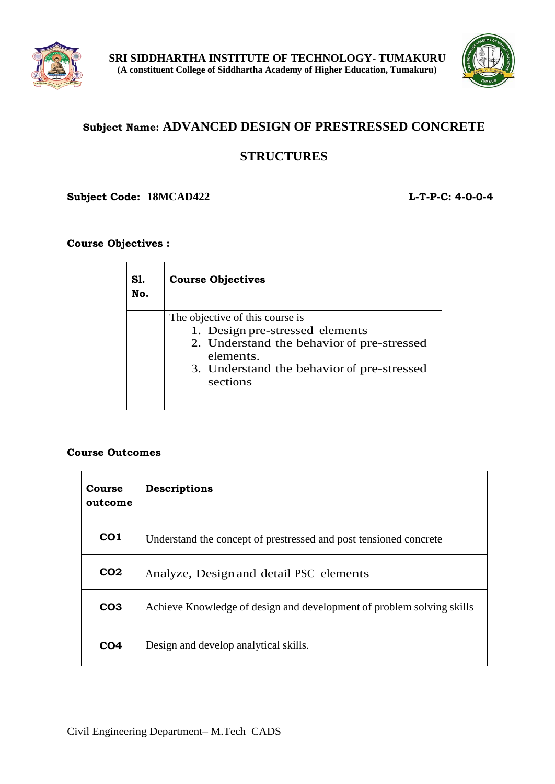



# **Subject Name: ADVANCED DESIGN OF PRESTRESSED CONCRETE**

## **STRUCTURES**

## **Subject Code: 18MCAD422 L-T-P-C: 4-0-0-4**

## **Course Objectives :**

| Sl.<br>No. | <b>Course Objectives</b>                                |
|------------|---------------------------------------------------------|
|            | The objective of this course is                         |
|            | 1. Design pre-stressed elements                         |
|            | 2. Understand the behavior of pre-stressed<br>elements. |
|            | 3. Understand the behavior of pre-stressed<br>sections  |
|            |                                                         |

| <b>Course</b><br>outcome | Descriptions                                                          |
|--------------------------|-----------------------------------------------------------------------|
| CO <sub>1</sub>          | Understand the concept of prestressed and post tensioned concrete     |
| CO <sub>2</sub>          | Analyze, Design and detail PSC elements                               |
| CO <sub>3</sub>          | Achieve Knowledge of design and development of problem solving skills |
| CO <sub>4</sub>          | Design and develop analytical skills.                                 |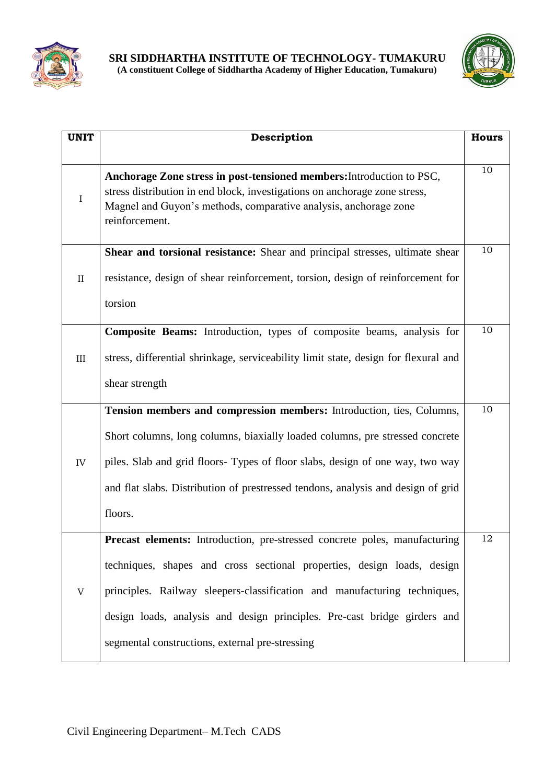



| <b>UNIT</b>  | Description                                                                                                                                                                                                                                                                                                                                                        | <b>Hours</b> |
|--------------|--------------------------------------------------------------------------------------------------------------------------------------------------------------------------------------------------------------------------------------------------------------------------------------------------------------------------------------------------------------------|--------------|
| $\rm I$      | Anchorage Zone stress in post-tensioned members: Introduction to PSC,<br>stress distribution in end block, investigations on anchorage zone stress,<br>Magnel and Guyon's methods, comparative analysis, anchorage zone<br>reinforcement.                                                                                                                          | 10           |
| $\rm II$     | Shear and torsional resistance: Shear and principal stresses, ultimate shear<br>resistance, design of shear reinforcement, torsion, design of reinforcement for<br>torsion                                                                                                                                                                                         | 10           |
| III          | Composite Beams: Introduction, types of composite beams, analysis for<br>stress, differential shrinkage, serviceability limit state, design for flexural and<br>shear strength                                                                                                                                                                                     | 10           |
| ${\rm IV}$   | Tension members and compression members: Introduction, ties, Columns,<br>Short columns, long columns, biaxially loaded columns, pre stressed concrete<br>piles. Slab and grid floors- Types of floor slabs, design of one way, two way<br>and flat slabs. Distribution of prestressed tendons, analysis and design of grid<br>floors.                              | 10           |
| $\mathbf{V}$ | Precast elements: Introduction, pre-stressed concrete poles, manufacturing<br>techniques, shapes and cross sectional properties, design loads, design<br>principles. Railway sleepers-classification and manufacturing techniques,<br>design loads, analysis and design principles. Pre-cast bridge girders and<br>segmental constructions, external pre-stressing | 12           |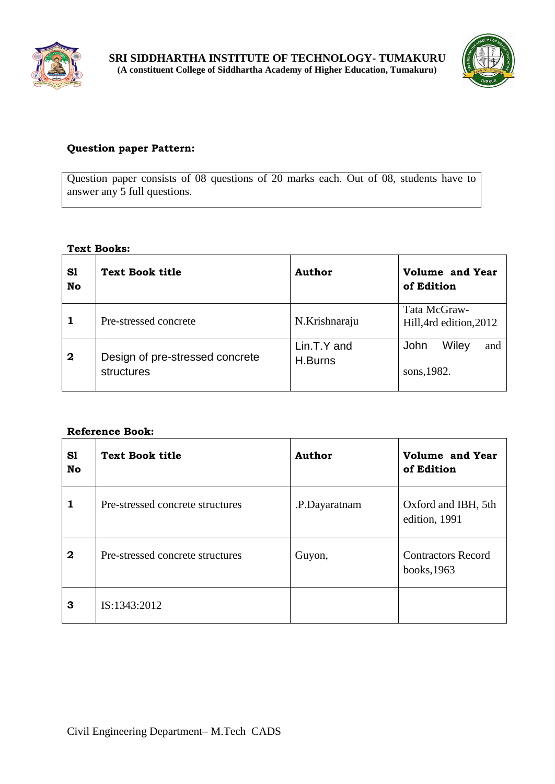



Question paper consists of 08 questions of 20 marks each. Out of 08, students have to answer any 5 full questions.

## **Text Books:**

| S1<br>No         | <b>Text Book title</b>                        | Author                 | <b>Volume and Year</b><br>of Edition    |
|------------------|-----------------------------------------------|------------------------|-----------------------------------------|
| $\mathbf{1}$     | Pre-stressed concrete                         | N.Krishnaraju          | Tata McGraw-<br>Hill, 4rd edition, 2012 |
| $\boldsymbol{2}$ | Design of pre-stressed concrete<br>structures | Lin.T.Y and<br>H.Burns | Wiley<br>John<br>and<br>sons, 1982.     |

| S1<br>No     | <b>Text Book title</b>           | <b>Author</b> | Volume and Year<br>of Edition            |
|--------------|----------------------------------|---------------|------------------------------------------|
| 1            | Pre-stressed concrete structures | .P.Dayaratnam | Oxford and IBH, 5th<br>edition, 1991     |
| $\mathbf{2}$ | Pre-stressed concrete structures | Guyon,        | <b>Contractors Record</b><br>books, 1963 |
| 3            | IS:1343:2012                     |               |                                          |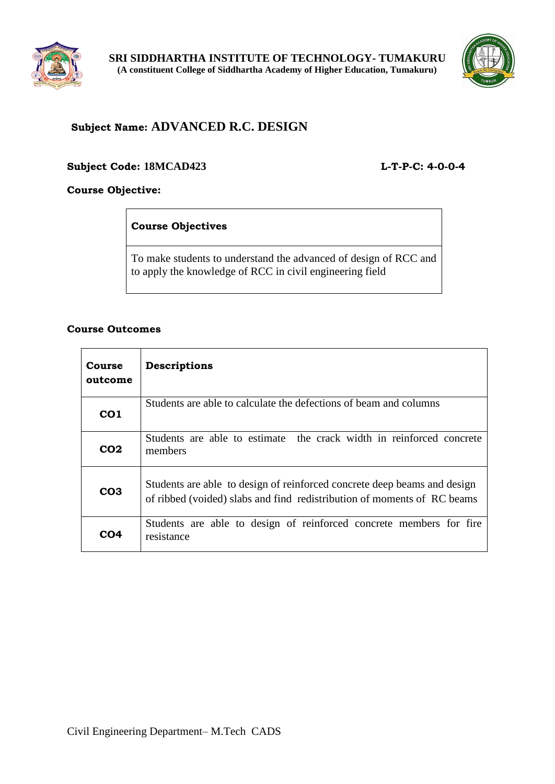



# **Subject Name: ADVANCED R.C. DESIGN**

## **Subject Code: 18MCAD423 L-T-P-C: 4-0-0-4**

## **Course Objective:**

**Course Objectives** 

To make students to understand the advanced of design of RCC and to apply the knowledge of RCC in civil engineering field

| <b>Course</b><br>outcome | Descriptions                                                                                                                                        |
|--------------------------|-----------------------------------------------------------------------------------------------------------------------------------------------------|
| CO <sub>1</sub>          | Students are able to calculate the defections of beam and columns                                                                                   |
| CO2                      | Students are able to estimate the crack width in reinforced concrete<br>members                                                                     |
| CO <sub>3</sub>          | Students are able to design of reinforced concrete deep beams and design<br>of ribbed (voided) slabs and find redistribution of moments of RC beams |
| CO4                      | Students are able to design of reinforced concrete members for fire<br>resistance                                                                   |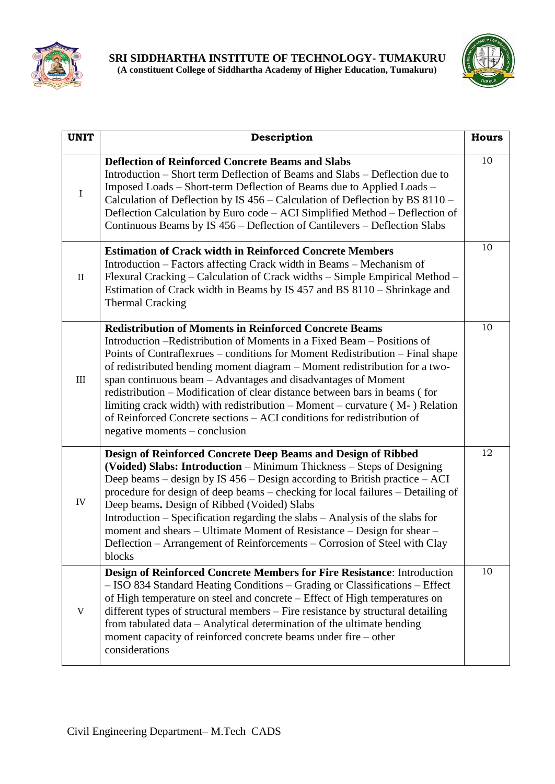



| <b>UNIT</b> | Description                                                                                                                                                                                                                                                                                                                                                                                                                                                                                                                                                                                                                                              | <b>Hours</b> |
|-------------|----------------------------------------------------------------------------------------------------------------------------------------------------------------------------------------------------------------------------------------------------------------------------------------------------------------------------------------------------------------------------------------------------------------------------------------------------------------------------------------------------------------------------------------------------------------------------------------------------------------------------------------------------------|--------------|
| $\rm I$     | <b>Deflection of Reinforced Concrete Beams and Slabs</b><br>Introduction – Short term Deflection of Beams and Slabs – Deflection due to<br>Imposed Loads - Short-term Deflection of Beams due to Applied Loads -<br>Calculation of Deflection by IS 456 – Calculation of Deflection by BS 8110 –<br>Deflection Calculation by Euro code - ACI Simplified Method - Deflection of<br>Continuous Beams by IS 456 - Deflection of Cantilevers - Deflection Slabs                                                                                                                                                                                             | 10           |
| $\rm II$    | <b>Estimation of Crack width in Reinforced Concrete Members</b><br>Introduction – Factors affecting Crack width in Beams – Mechanism of<br>Flexural Cracking - Calculation of Crack widths - Simple Empirical Method -<br>Estimation of Crack width in Beams by IS 457 and BS 8110 – Shrinkage and<br><b>Thermal Cracking</b>                                                                                                                                                                                                                                                                                                                            | 10           |
| $\rm III$   | <b>Redistribution of Moments in Reinforced Concrete Beams</b><br>Introduction –Redistribution of Moments in a Fixed Beam – Positions of<br>Points of Contraflexrues – conditions for Moment Redistribution – Final shape<br>of redistributed bending moment diagram - Moment redistribution for a two-<br>span continuous beam – Advantages and disadvantages of Moment<br>redistribution – Modification of clear distance between bars in beams (for<br>limiting crack width) with redistribution $-$ Moment $-$ curvature ( $M$ -) Relation<br>of Reinforced Concrete sections – ACI conditions for redistribution of<br>negative moments – conclusion | 10           |
| ${\rm IV}$  | Design of Reinforced Concrete Deep Beams and Design of Ribbed<br>(Voided) Slabs: Introduction - Minimum Thickness - Steps of Designing<br>Deep beams – design by IS $456$ – Design according to British practice – ACI<br>procedure for design of deep beams – checking for local failures – Detailing of<br>Deep beams. Design of Ribbed (Voided) Slabs<br>Introduction – Specification regarding the slabs – Analysis of the slabs for<br>moment and shears - Ultimate Moment of Resistance - Design for shear -<br>Deflection – Arrangement of Reinforcements – Corrosion of Steel with Clay<br>blocks                                                | 12           |
| $\mathbf V$ | Design of Reinforced Concrete Members for Fire Resistance: Introduction<br>- ISO 834 Standard Heating Conditions - Grading or Classifications - Effect<br>of High temperature on steel and concrete – Effect of High temperatures on<br>different types of structural members - Fire resistance by structural detailing<br>from tabulated data – Analytical determination of the ultimate bending<br>moment capacity of reinforced concrete beams under fire – other<br>considerations                                                                                                                                                                   | 10           |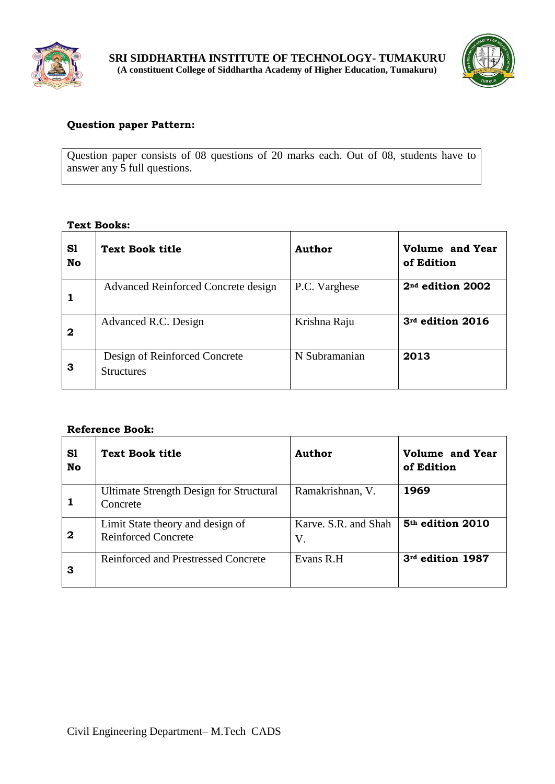



Question paper consists of 08 questions of 20 marks each. Out of 08, students have to answer any 5 full questions.

## **Text Books:**

| S1<br>No     | <b>Text Book title</b>                             | <b>Author</b> | <b>Volume and Year</b><br>of Edition |
|--------------|----------------------------------------------------|---------------|--------------------------------------|
|              | Advanced Reinforced Concrete design                | P.C. Varghese | 2 <sup>nd</sup> edition 2002         |
| $\mathbf{2}$ | Advanced R.C. Design                               | Krishna Raju  | 3rd edition 2016                     |
| 3            | Design of Reinforced Concrete<br><b>Structures</b> | N Subramanian | 2013                                 |

| S1<br>No    | <b>Text Book title</b>                                         | Author                     | Volume and Year<br>of Edition |
|-------------|----------------------------------------------------------------|----------------------------|-------------------------------|
|             | <b>Ultimate Strength Design for Structural</b><br>Concrete     | Ramakrishnan, V.           | 1969                          |
| $\mathbf 2$ | Limit State theory and design of<br><b>Reinforced Concrete</b> | Karve, S.R. and Shah<br>V. | 5 <sup>th</sup> edition 2010  |
| З           | <b>Reinforced and Prestressed Concrete</b>                     | Evans R.H                  | 3rd edition 1987              |